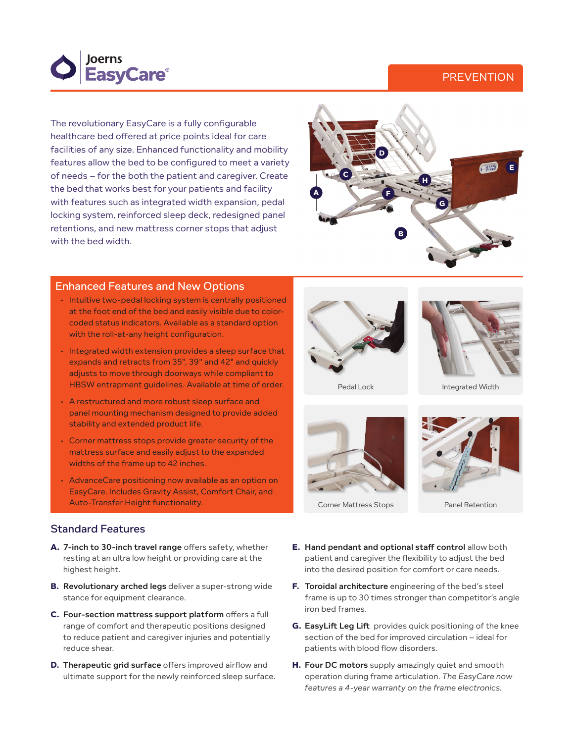



The revolutionary EasyCare is a fully configurable healthcare bed offered at price points ideal for care facilities of any size. Enhanced functionality and mobility features allow the bed to be configured to meet a variety of needs – for the both the patient and caregiver. Create the bed that works best for your patients and facility with features such as integrated width expansion, pedal locking system, reinforced sleep deck, redesigned panel retentions, and new mattress corner stops that adjust with the bed width.



## Enhanced Features and New Options

- $\cdot$  Intuitive two-pedal locking system is centrally positioned at the foot end of the bed and easily visible due to colorcoded status indicators. Available as a standard option with the roll-at-any height configuration.
- Integrated width extension provides a sleep surface that expands and retracts from 35", 39" and 42" and quickly adjusts to move through doorways while compliant to HBSW entrapment guidelines. Available at time of order.
- • A restructured and more robust sleep surface and panel mounting mechanism designed to provide added stability and extended product life.
- • Corner mattress stops provide greater security of the mattress surface and easily adjust to the expanded widths of the frame up to 42 inches.
- AdvanceCare positioning now available as an option on EasyCare. Includes Gravity Assist, Comfort Chair, and Auto-Transfer Height functionality. The example of the Corner Mattress Stops Panel Retention



- **A.** 7-inch to 30-inch travel range offers safety, whether resting at an ultra low height or providing care at the highest height.
- **B.** Revolutionary arched legs deliver a super-strong wide stance for equipment clearance.
- **C.** Four-section mattress support platform offers a full range of comfort and therapeutic positions designed to reduce patient and caregiver injuries and potentially reduce shear.
- **D.** Therapeutic grid surface offers improved airflow and ultimate support for the newly reinforced sleep surface.





Pedal Lock Integrated Width



Corner Mattress Stops



- **E.** Hand pendant and optional staff control allow both patient and caregiver the flexibility to adjust the bed into the desired position for comfort or care needs.
- **F.** Toroidal architecture engineering of the bed's steel frame is up to 30 times stronger than competitor's angle iron bed frames.
- **G.** EasyLift Leg Lift provides quick positioning of the knee section of the bed for improved circulation – ideal for patients with blood flow disorders.
- **H.** Four DC motors supply amazingly quiet and smooth operation during frame articulation. *The EasyCare now features a 4-year warranty on the frame electronics.*